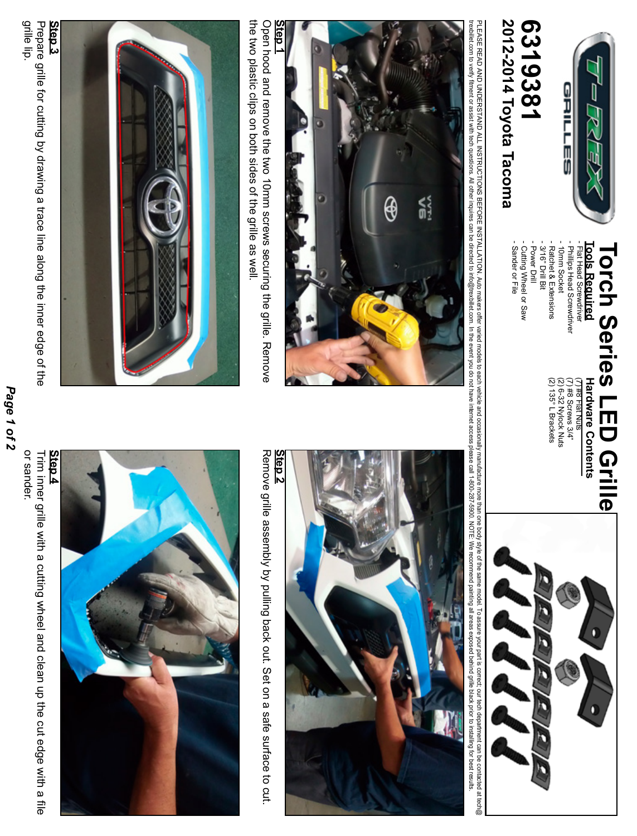

# 2012-2014 Toyota Tacoma 19381 **2012-2014 Toyota Tacoma 6319381**

- Sander or File - Cutting Wheel or Saw

- Cutting Wheel or Saw<br>- Sander or File

#### **Tools Required** - Power Drill - Power Drill - 3/16" Drill Bit - 3/16" Drill Bit - Ratchet & Extensions - Ratchet & Extensions 10mm Socket - 10mm Socket - Philips Head Screwdriver - Phillips Head Screwdriver - Flat Head Screwdriver - Flat Head Screwdriver **Tools Required Torch Series LED Grille Torch Series LED Grille**

Hardware Contents  $(7)$  #8 Flat Nuts **Hardware Contents**

(2) (2) 6-32 Nylock Nuts (7) #8 Screws 3/4" 135° L Brackets

PLEASE READ AND UNDERSTAND ALL INSTRUCTIONS BEFORE INSTALLATION. Auto makes offer varied and and cocasionally manufacture more body style of the same model. To assure your part is correct, our tech department can be contac trexbillet con the save are applied their napires can be offected to info@trexbillet.com. In the event you do not have info@trexbillet.com in forest commend painting all areas exposed beind grillet basing for besing the re PIEASE READ UNDERSTAND ALL INSTRUCTIONS BEFORE INSTALLATION. Auto makers offer variation and orders the same mode is the same mode is the same mode. To assure mode, shy style of the same mode. To assure mode, the same mode



Open hood and remove the two 10mm screws securing the grille. Remove the drips on both sides of the grille as well the two plastic clips on both sides of the grille as well. Open hood and remove the two 10mm screws securing the grille. Remove





### **Step 2**

Remove grille assembly by pulling back out. Set on a safe surface to cut. Remove grille assembly by pulling back out. Set on a safe surface to cut.



Prepare grille for cutting by drawing a trace line along the inner edge of the<br>grille lip.

Page 1 of 2 *Page 1 of 2*

or sander. or sander. Trim inner grille with a cutting wheel and clean up the cut edge with a file Trim inner grille with a cutting wheel and clean up the cut edge with a file